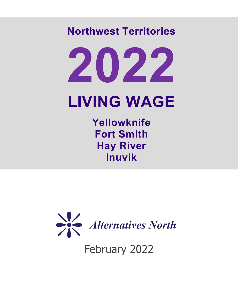# **Northwest Territories**

# **2022 LIVING WAGE**

**Yellowknife Fort Smith Hay River Inuvik**



February 2022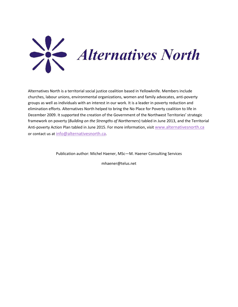

Alternatives North is a territorial social justice coalition based in Yellowknife. Members include churches, labour unions, environmental organizations, women and family advocates, anti-poverty groups as well as individuals with an interest in our work. It is a leader in poverty reduction and elimination efforts. Alternatives North helped to bring the No Place for Poverty coalition to life in December 2009. It supported the creation of the Government of the Northwest Territories' strategic framework on poverty (*Building on the Strengths of Northerners*) tabled in June 2013, and the Territorial Anti-poverty Action Plan tabled in June 2015. For more information, visi[t www.alternativesnorth.ca](http://www.alternativesnorth.ca/)  or contact us at [info@alternativesnorth.ca.](mailto:info@alternativesnorth.ca)

Publication author: Michel Haener, MSc—M. Haener Consulting Services

mhaener@telus.net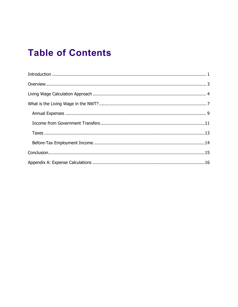### **Table of Contents**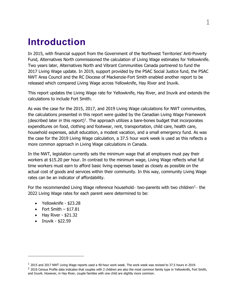#### <span id="page-3-0"></span>**Introduction**

In 2015, with financial support from the Government of the Northwest Territories' Anti-Poverty Fund, Alternatives North commissioned the calculation of Living Wage estimates for Yellowknife. Two years later, Alternatives North and Vibrant Communities Canada partnered to fund the 2017 Living Wage update. In 2019, support provided by the PSAC Social Justice fund, the PSAC NWT Area Council and the RC Diocese of Mackenzie-Fort Smith enabled another report to be released which compared Living Wage across Yellowknife, Hay River and Inuvik.

This report updates the Living Wage rate for Yellowknife, Hay River, and Inuvik and extends the calculations to include Fort Smith.

As was the case for the 2015, 2017, and 2019 Living Wage calculations for NWT communities, the calculations presented in this report were guided by the Canadian Living Wage Framework (described later in this report)<sup>[1](#page-3-1)</sup>. The approach utilizes a bare-bones budget that incorporates expenditures on food, clothing and footwear, rent, transportation, child care, health care, household expenses, adult education, a modest vacation, and a small emergency fund. As was the case for the 2019 Living Wage calculation, a 37.5 hour work week is used as this reflects a more common approach in Living Wage calculations in Canada.

In the NWT, legislation currently sets the minimum wage that all employers must pay their workers at \$15.20 per hour. In contrast to the minimum wage, Living Wage reflects what full time workers must earn to afford basic living expenses based as closely as possible on the actual cost of goods and services within their community. In this way, community Living Wage rates can be an indicator of affordability.

For the recommended Living Wage reference household– two-parents with two children<sup>[2](#page-3-2)</sup>– the 2022 Living Wage rates for each parent were determined to be:

- Yellowknife \$23.28
- Fort Smith  $-$  \$17.81
- $\bullet$  Hay River \$21.32
- Inuvik \$22.59

<span id="page-3-1"></span><sup>1</sup> 2015 and 2017 NWT Living Wage reports used a 40-hour work week. The work week was revised to 37.5 hours in 2019.

<span id="page-3-2"></span> $2$  2016 Census Profile data indicates that couples with 2 children are also the most common family type in Yellowknife, Fort Smith, and Inuvik. However, in Hay River, couple families with one child are slightly more common.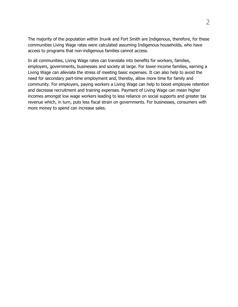The majority of the population within Inuvik and Fort Smith are Indigenous, therefore, for these communities Living Wage rates were calculated assuming Indigenous households, who have access to programs that non-indigenous families cannot access.

<span id="page-4-0"></span>In all communities, Living Wage rates can translate into benefits for workers, families, employers, governments, businesses and society at large. For lower-income families, earning a Living Wage can alleviate the stress of meeting basic expenses. It can also help to avoid the need for secondary part-time employment and, thereby, allow more time for family and community. For employers, paying workers a Living Wage can help to boost employee retention and decrease recruitment and training expenses. Payment of Living Wage can mean higher incomes amongst low wage workers leading to less reliance on social supports and greater tax revenue which, in turn, puts less fiscal strain on governments. For businesses, consumers with more money to spend can increase sales.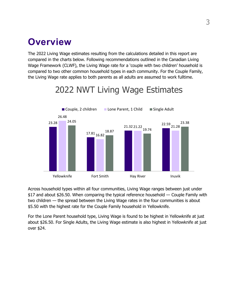#### **Overview**

The 2022 Living Wage estimates resulting from the calculations detailed in this report are compared in the charts below. Following recommendations outlined in the Canadian Living Wage Framework (CLWF), the Living Wage rate for a 'couple with two children' household is compared to two other common household types in each community. For the Couple Family, the Living Wage rate applies to both parents as all adults are assumed to work fulltime.

#### 23.28 17.81 16.82 21.32 22.59 26.48 22.59<br>21.28 24.05 18.87 19.74 23.38 Yellowknife Fort Smith Fort Hay River Inuvik ■ Couple, 2 children Lone Parent, 1 Child Single Adult

# 2022 NWT Living Wage Estimates

Across household types within all four communities, Living Wage ranges between just under \$17 and about \$26.50. When comparing the typical reference household — Couple Family with two children — the spread between the Living Wage rates in the four communities is about \$5.50 with the highest rate for the Couple Family household in Yellowknife.

<span id="page-5-0"></span>For the Lone Parent household type, Living Wage is found to be highest in Yellowknife at just about \$26.50. For Single Adults, the Living Wage estimate is also highest in Yellowknife at just over \$24.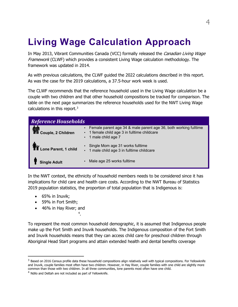## **Living Wage Calculation Approach**

In May 2013, Vibrant Communities Canada (VCC) formally released the Canadian Living Wage Framework (CLWF) which provides a consistent Living Wage calculation methodology. The framework was updated in 2014.

As with previous calculations, the CLWF guided the 2022 calculations described in this report. As was the case for the 2019 calculations, a 37.5-hour work week is used.

The CLWF recommends that the reference household used in the Living Wage calculation be a couple with two children and that other household compositions be tracked for comparison. The table on the next page summarizes the reference households used for the NWT Living Wage calculations in this report.<sup>[3](#page-6-0)</sup>

| <b>Reference Households</b>         |                                                                                                                                          |
|-------------------------------------|------------------------------------------------------------------------------------------------------------------------------------------|
| ,<br>Asi<br>TIII Couple, 2 Children | • Female parent age 34 & male parent age 36, both working fulltime<br>• 1 female child age 3 in fulltime childcare<br>1 male child age 7 |
| Lone Parent, 1 child                | Single Mom age 31 works fulltime<br>• 1 male child age 3 in fulltime childcare                                                           |
| <b>Single Adult</b>                 | Male age 25 works fulltime                                                                                                               |

In the NWT context, the ethnicity of household members needs to be considered since it has implications for child care and health care costs. According to the NWT Bureau of Statistics 2019 population statistics, the proportion of total population that is Indigenous is:

- 65% in Inuvik;
- 59% in Fort Smith;
- 46% in Hay River; and

[4](#page-6-1) .

To represent the most common household demographic, it is assumed that Indigenous people make up the Fort Smith and Inuvik households. The Indigenous composition of the Fort Smith and Inuvik households means that they can access child care for preschool children through Aboriginal Head Start programs and attain extended health and dental benefits coverage

<span id="page-6-0"></span> $3$  Based on 2016 Census profile data these household compositions align relatively well with typical compositions. For Yellowknife and Inuvik, couple families most often have two children. However, in Hay River, couple families with one child are slightly more common than those with two children. In all three communities, lone parents most often have one child.

<span id="page-6-1"></span><sup>&</sup>lt;sup>4</sup> Ndilo and Dettah are not included as part of Yellowknife.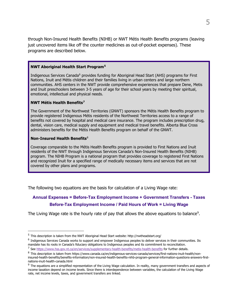through Non-Insured Health Benefits (NIHB) or NWT Métis Health Benefits programs (leaving just uncovered items like off the counter medicines as out-of-pocket expenses). These programs are described below.

#### **NWT Aboriginal Health Start Program[5](#page-7-0)**

Indigenous Services Canada<sup>[6](#page-7-1)</sup> provides funding for Aboriginal Head Start (AHS) programs for First Nations, Inuit and Métis children and their families living in urban centers and large northern communities. AHS centers in the NWT provide comprehensive experiences that prepare Dene, Metis and Inuit preschoolers between 3-5 years of age for their school years by meeting their spiritual, emotional, intellectual and physical needs.

#### **NWT Métis Health Benefits[7](#page-7-2)**

The Government of the Northwest Territories (GNWT) sponsors the Métis Health Benefits program to provide registered Indigenous Métis residents of the Northwest Territories access to a range of benefits not covered by hospital and medical care insurance. The program includes prescription drug, dental, vision care, medical supply and equipment and medical travel benefits. Alberta Blue Cross administers benefits for the Métis Health Benefits program on behalf of the GNWT.

#### **Non-Insured Health Benefits**[8](#page-7-3)

Coverage comparable to the Métis Health Benefits program is provided to First Nations and Inuit residents of the NWT through Indigenous Services Canada's Non-Insured Health Benefits (NIHB) program. The NIHB Program is a national program that provides coverage to registered First Nations and recognized Inuit for a specified range of medically necessary items and services that are not covered by other plans and programs.

The following two equations are the basis for calculation of a Living Wage rate:

#### **Annual Expenses = Before-Tax Employment Income + Government Transfers - Taxes Before-Tax Employment Income / Paid Hours of Work = Living Wage**

The Living Wage rate is the hourly rate of pay that allows the above equations to balance<sup>[9](#page-7-4)</sup>.

<span id="page-7-0"></span><sup>5</sup> This description is taken from the NWT Aboriginal Head Start website: http://nwtheadstart.org/

<span id="page-7-1"></span><sup>&</sup>lt;sup>6</sup> Indigenous Services Canada works to support and empower Indigenous peoples to deliver services in their communities. Its mandate has its roots in Canada's fiduciary obligations to Indigenous peoples and its commitment to reconciliation.

<span id="page-7-2"></span><sup>7</sup> See<https://www.hss.gov.nt.ca/en/services/supplementary-health-benefits/metis-health-benefits> for further details.

<span id="page-7-3"></span><sup>8</sup> This description is taken from https://www.canada.ca/en/indigenous-services-canada/services/first-nations-inuit-health/noninsured-health-benefits/benefits-information/non-insured-health-benefits-nihb-program-general-information-questions-answers-firstnations-inuit-health-canada.html

<span id="page-7-4"></span><sup>&</sup>lt;sup>9</sup> The equations are a simplified representation of the Living Wage calculation. In reality, many government transfers and aspects of income taxation depend on income levels. Since there is interdependence between variables, the calculation of the Living Wage rate, net income levels, taxes, and government transfers are linked.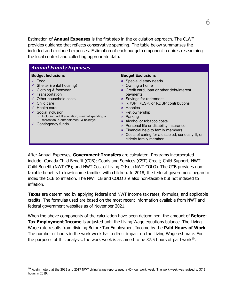Estimation of **Annual Expenses** is the first step in the calculation approach. The CLWF provides guidance that reflects conservative spending. The table below summarizes the included and excluded expenses. Estimation of each budget component requires researching the local context and collecting appropriate data.

| <b>Budget Inclusions</b><br>$\checkmark$ Food<br>Shelter (rental housing)<br>Clothing & footwear<br>Transportation<br>Other household costs<br>Child care<br>Health care<br>Social inclusion<br>Including: adult education; minimal spending on<br>recreation, & entertainment, & holidays<br>Contingency funds | <b>Budget Exclusions</b><br><b>*</b> Special dietary needs<br>× Owning a home<br>* Credit card, loan or other debt/interest<br>payments<br><b>×</b> Savings for retirement<br>* RRSP, RESP, or RDSP contributions<br><b>*</b> Hobbies<br><b>*</b> Pet ownership<br><b>*</b> Parking<br>* Alcohol or tobacco costs<br><b>*</b> Personal life or disability insurance<br><b>*</b> Financial help to family members<br>* Costs of caring for a disabled, seriously ill, or<br>elderly family member |
|-----------------------------------------------------------------------------------------------------------------------------------------------------------------------------------------------------------------------------------------------------------------------------------------------------------------|--------------------------------------------------------------------------------------------------------------------------------------------------------------------------------------------------------------------------------------------------------------------------------------------------------------------------------------------------------------------------------------------------------------------------------------------------------------------------------------------------|

After Annual Expenses, **Government Transfers** are calculated. Programs incorporated include: Canada Child Benefit (CCB); Goods and Services (GST) Credit; Child Support; NWT Child Benefit (NWT CB); and NWT Cost of Living Offset (NWT COLO). The CCB provides nontaxable benefits to low-income families with children. In 2018, the federal government began to index the CCB to inflation. The NWT CB and COLO are also non-taxable but not indexed to inflation.

**Taxes** are determined by applying federal and NWT income tax rates, formulas, and applicable credits. The formulas used are based on the most recent information available from NWT and federal government websites as of November 2021.

When the above components of the calculation have been determined, the amount of **Before-Tax Employment Income** is adjusted until the Living Wage equations balance. The Living Wage rate results from dividing Before-Tax Employment Income by the **Paid Hours of Work**. The number of hours in the work week has a direct impact on the Living Wage estimate. For the purposes of this analysis, the work week is assumed to be 37.5 hours of paid work $10$ .

<span id="page-8-1"></span><span id="page-8-0"></span> $^{10}$  Again, note that the 2015 and 2017 NWT Living Wage reports used a 40-hour work week. The work week was revised to 37.5 hours in 2019.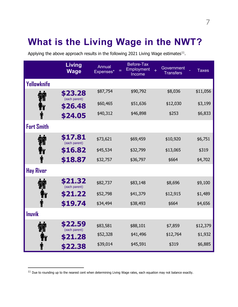## **What is the Living Wage in the NWT?**

Applying the above approach results in the following 2021 Living Wage estimates $^{11}$ .

|                   | <b>Living</b><br><b>Wage</b> | Annual<br>Expenses* | <b>Before-Tax</b><br>Employment<br>Income | Government<br>$+$<br><b>Transfers</b> | <b>Taxes</b> |
|-------------------|------------------------------|---------------------|-------------------------------------------|---------------------------------------|--------------|
| Yellowknife       |                              |                     |                                           |                                       |              |
|                   | \$23.28<br>(each parent)     | \$87,754            | \$90,792                                  | \$8,036                               | \$11,056     |
|                   | \$26.48                      | \$60,465            | \$51,636                                  | \$12,030                              | \$3,199      |
|                   | \$24.05                      | \$40,312            | \$46,898                                  | \$253                                 | \$6,833      |
| <b>Fort Smith</b> |                              |                     |                                           |                                       |              |
|                   | \$17.81<br>(each parent)     | \$73,621            | \$69,459                                  | \$10,920                              | \$6,751      |
|                   | \$16.82                      | \$45,534            | \$32,799                                  | \$13,065                              | \$319        |
| T                 | \$18.87                      | \$32,757            | \$36,797                                  | \$664                                 | \$4,702      |
| <b>Hay River</b>  |                              |                     |                                           |                                       |              |
|                   | \$21.32<br>(each parent)     | \$82,737            | \$83,148                                  | \$8,696                               | \$9,100      |
|                   | \$21.22                      | \$52,798            | \$41,379                                  | \$12,915                              | \$1,489      |
|                   | \$19.74                      | \$34,494            | \$38,493                                  | \$664                                 | \$4,656      |
| <b>Inuvik</b>     |                              |                     |                                           |                                       |              |
|                   | \$22.59<br>(each parent)     | \$83,581            | \$88,101                                  | \$7,859                               | \$12,379     |
|                   | \$21.28                      | \$52,328            | \$41,496                                  | \$12,764                              | \$1,932      |
|                   | \$22.38                      | \$39,014            | \$45,591                                  | \$319                                 | \$6,885      |

<span id="page-9-0"></span> $11$  Due to rounding up to the nearest cent when determining Living Wage rates, each equation may not balance exactly.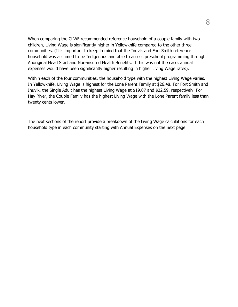When comparing the CLWF recommended reference household of a couple family with two children, Living Wage is significantly higher in Yellowknife compared to the other three communities. (It is important to keep in mind that the Inuvik and Fort Smith reference household was assumed to be Indigenous and able to access preschool programming through Aboriginal Head Start and Non-insured Health Benefits. If this was not the case, annual expenses would have been significantly higher resulting in higher Living Wage rates).

Within each of the four communities, the household type with the highest Living Wage varies. In Yellowknife, Living Wage is highest for the Lone Parent Family at \$26.48. For Fort Smith and Inuvik, the Single Adult has the highest Living Wage at \$19.07 and \$22.59, respectively. For Hay River, the Couple Family has the highest Living Wage with the Lone Parent family less than twenty cents lower.

The next sections of the report provide a breakdown of the Living Wage calculations for each household type in each community starting with Annual Expenses on the next page.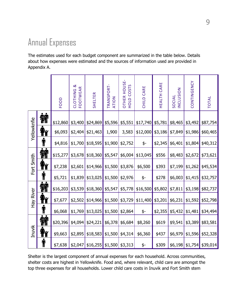### <span id="page-11-0"></span>Annual Expenses

The estimates used for each budget component are summarized in the table below. Details about how expenses were estimated and the sources of information used are provided in Appendix A.

|             |                                                                                                                                                                                                                                                     | FOOD     | <b>CLOTHING &amp;</b><br>FOOTWEAR | SHELTER            | TRANSPORT-<br>ATION | OTHER HOUSE-<br>COSTS<br>HOLD | CHILD CARE | HEALTH CARE | INCLUSION<br>SOCIAL | CONTINGENCY | <b>TOTAL</b>                |
|-------------|-----------------------------------------------------------------------------------------------------------------------------------------------------------------------------------------------------------------------------------------------------|----------|-----------------------------------|--------------------|---------------------|-------------------------------|------------|-------------|---------------------|-------------|-----------------------------|
|             | <b>A</b>                                                                                                                                                                                                                                            | \$12,860 | \$3,400                           | \$24,869           | \$5,596             | \$5,551                       | \$17,740   | \$5,781     | \$8,465             | \$3,492     | \$87,754                    |
| Yellowknfie | <b>Tirty</b>                                                                                                                                                                                                                                        | \$6,093  | \$2,404                           | \$21,463           | 1,900               | 3,583                         | \$12,000   | \$3,186     | \$7,849             | \$1,986     | \$60,465                    |
|             | T                                                                                                                                                                                                                                                   | \$4,816  | \$1,700                           | \$18,595           | \$1,900             | \$2,752                       | \$-        | \$2,345     | \$6,401             | \$1,804     | \$40,312                    |
|             | <b>AN</b>                                                                                                                                                                                                                                           | \$15,277 | \$3,678                           | \$18,360           | \$5,547             | \$6,004                       | \$13,045   | \$556       | \$8,483             | \$2,672     | \$73,621                    |
| Fort Smith  | <b>triti</b>                                                                                                                                                                                                                                        | \$7,238  | \$2,601                           | \$14,966           | \$1,500             | \$3,876                       | \$6,500    | \$393       | \$7,199             | \$1,262     | \$45,534                    |
|             | T                                                                                                                                                                                                                                                   | \$5,721  | \$1,839                           | \$13,025           | \$1,500             | \$2,976                       | \$-        | \$278       | \$6,003             | \$1,415     | \$32,757                    |
|             | <b>M</b>                                                                                                                                                                                                                                            | \$16,203 | \$3,539                           | \$18,360           | \$5,547             | \$5,778                       | \$16,500   | \$5,802     | \$7,811             | \$3,198     | \$82,737                    |
| Hay River   | <b>The Second Structure (Second</b> ) in the second second the second second that the second through $\mathbf{f}$ is a second through $\mathbf{f}$ is a second through $\mathbf{f}$ is a second through $\mathbf{f}$ is a second to second the seco | \$7,677  | \$2,502                           | \$14,966           | \$1,500             | \$3,729                       | \$11,400   | \$3,201     | \$6,231             | \$1,592     | \$52,798                    |
|             | T                                                                                                                                                                                                                                                   | \$6,068  | \$1,769                           | \$13,025           | \$1,500             | \$2,864                       | \$-        | \$2,355     | \$5,432             | \$1,481     | \$34,494                    |
|             | M                                                                                                                                                                                                                                                   | \$20,396 | \$4,094                           | \$24,221           | \$6,378             | \$6,684                       | \$8,260    | \$619       | \$9,541             | \$3,389     | \$83,581                    |
| Inuvik      | <b>The Second Second</b><br>The Second Second Second Second Second Second Second Second Second Second Second Second Second Second Second S<br>Second Second Second Second Second Second Second Second Second Second Second Second Second            | \$9,663  | \$2,895                           | \$18,583           | \$1,500             | \$4,314                       | \$6,360    | \$437       | \$6,979             | \$1,596     | \$52,328                    |
|             | T                                                                                                                                                                                                                                                   | \$7,638  | \$2,047                           | $$16,255$ $$1,500$ |                     | \$3,313                       | \$-        | \$309       |                     |             | $$6,198$ $$1,754$ $$39,014$ |

Shelter is the largest component of annual expenses for each household. Across communities, shelter costs are highest in Yellowknife. Food and, where relevant, child care are amongst the top three expenses for all households. Lower child care costs in Inuvik and Fort Smith stem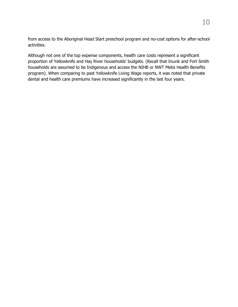from access to the Aboriginal Head Start preschool program and no-cost options for after-school activities.

<span id="page-12-0"></span>Although not one of the top expense components, health care costs represent a significant proportion of Yellowknife and Hay River households' budgets. (Recall that Inuvik and Fort Smith households are assumed to be Indigenous and access the NIHB or NWT Metis Health Benefits program). When comparing to past Yellowknife Living Wage reports, it was noted that private dental and health care premiums have increased significantly in the last four years.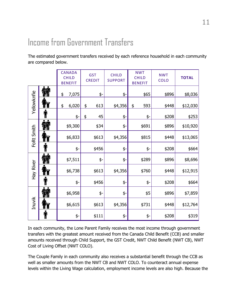# Income from Government Transfers

The estimated government transfers received by each reference household in each community are compared below.

|             |           | <b>CANADA</b><br><b>CHILD</b><br><b>BENEFIT</b> | <b>GST</b><br><b>CREDIT</b> | <b>CHILD</b><br><b>SUPPORT</b> | <b>NWT</b><br><b>CHILD</b><br><b>BENEFIT</b> | <b>NWT</b><br><b>COLO</b> | <b>TOTAL</b> |
|-------------|-----------|-------------------------------------------------|-----------------------------|--------------------------------|----------------------------------------------|---------------------------|--------------|
|             | 输         | \$<br>7,075                                     | \$-                         | \$-                            | \$65                                         | \$896                     | \$8,036      |
| Yellowknfie |           | \$<br>6,020                                     | \$<br>613                   | \$4,356                        | \$<br>593                                    | \$448                     | \$12,030     |
|             | П         | \$-                                             | \$<br>45                    | \$-                            | \$-                                          | \$208                     | \$253        |
|             | <b>AN</b> | \$9,300                                         | \$34                        | \$-                            | \$691                                        | \$896                     | \$10,920     |
| FoRt Smith  |           | \$6,833                                         | \$613                       | \$4,356                        | \$815                                        | \$448                     | \$13,065     |
|             |           | \$-                                             | \$456                       | \$-                            | \$-                                          | \$208                     | \$664        |
|             | Â         | \$7,511                                         | \$-                         | \$-                            | \$289                                        | \$896                     | \$8,696      |
| Hay River   |           | \$6,738                                         | \$613                       | \$4,356                        | \$760                                        | \$448                     | \$12,915     |
|             |           | \$-                                             | \$456                       | \$-                            | \$-                                          | \$208                     | \$664        |
|             | 烯         | \$6,958                                         | \$-                         | \$-                            | \$5                                          | \$896                     | \$7,859      |
| Inuvik      |           | \$6,615                                         | \$613                       | \$4,356                        | \$731                                        | \$448                     | \$12,764     |
|             |           | \$-                                             | \$111                       | \$-                            | \$-                                          | \$208                     | \$319        |

In each community, the Lone Parent Family receives the most income through government transfers with the greatest amount received from the Canada Child Benefit (CCB) and smaller amounts received through Child Support, the GST Credit, NWT Child Benefit (NWT CB), NWT Cost of Living Offset (NWT COLO).

The Couple Family in each community also receives a substantial benefit through the CCB as well as smaller amounts from the NWT CB and NWT COLO. To counteract annual expense levels within the Living Wage calculation, employment income levels are also high. Because the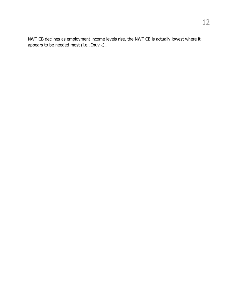NWT CB declines as employment income levels rise, the NWT CB is actually lowest where it appears to be needed most (i.e., Inuvik).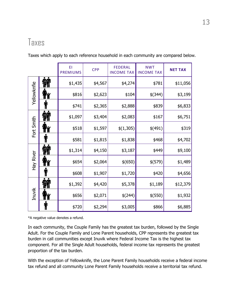#### <span id="page-15-0"></span>Taxes

|             |          | EI<br><b>PREMIUMS</b> | <b>CPP</b> | <b>FEDERAL</b><br><b>INCOME TAX</b> | <b>NWT</b><br><b>INCOME TAX</b> | <b>NET TAX</b> |
|-------------|----------|-----------------------|------------|-------------------------------------|---------------------------------|----------------|
|             | 綸        | \$1,435               | \$4,567    | \$4,274                             | \$781                           | \$11,056       |
| Yellowknfie |          | \$816                 | \$2,623    | \$104                               | \$(344)                         | \$3,199        |
|             |          | \$741                 | \$2,365    | \$2,888                             | \$839                           | \$6,833        |
|             | 綸        | \$1,097               | \$3,404    | \$2,083                             | \$167                           | \$6,751        |
| Fort Smith  |          | \$518                 | \$1,597    | \$(1,305)                           | \$(491)                         | \$319          |
|             |          | \$581                 | \$1,815    | \$1,838                             | \$468                           | \$4,702        |
|             | <b>A</b> | \$1,314               | \$4,150    | \$3,187                             | \$449                           | \$9,100        |
| Hay River   |          | \$654                 | \$2,064    | \$ (650)                            | \$(579)                         | \$1,489        |
|             |          | \$608                 | \$1,907    | \$1,720                             | \$420                           | \$4,656        |
|             |          | \$1,392               | \$4,420    | \$5,378                             | \$1,189                         | \$12,379       |
| Inuvik      |          | \$656                 | \$2,071    | \$(244)                             | \$(550)                         | \$1,932        |
|             |          | \$720                 | \$2,294    | \$3,005                             | \$866                           | \$6,885        |

Taxes which apply to each reference household in each community are compared below.

\*A negative value denotes a refund.

In each community, the Couple Family has the greatest tax burden, followed by the Single Adult. For the Couple Family and Lone Parent households, CPP represents the greatest tax burden in call communities except Inuvik where Federal Income Tax is the highest tax component. For all the Single Adult households, federal income tax represents the greatest proportion of the tax burden.

With the exception of Yellowknife, the Lone Parent Family households receive a federal income tax refund and all community Lone Parent Family households receive a territorial tax refund.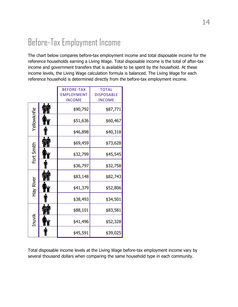# <span id="page-16-0"></span>Before-Tax Employment Income

The chart below compares before-tax employment income and total disposable income for the reference households earning a Living Wage. Total disposable income is the total of after-tax income and government transfers that is available to be spent by the household. At these income levels, the Living Wage calculation formula is balanced. The Living Wage for each reference household is determined directly from the before-tax employment income.

|             | <b>BEFORE-TAX</b> | <b>TOTAL</b>      |
|-------------|-------------------|-------------------|
|             | <b>EMPLOYMENT</b> | <b>DISPOSABLE</b> |
|             | <b>INCOME</b>     | <b>INCOME</b>     |
|             | \$90,792          | \$87,771          |
| Yellowknfie | \$51,636          | \$60,467          |
|             | \$46,898          | \$40,318          |
|             | \$69,459          | \$73,628          |
| Fort Smith  | \$32,799          | \$45,545          |
|             | \$36,797          | \$32,758          |
|             | \$83,148          | \$82,743          |
| Hay River   | \$41,379          | \$52,806          |
|             | \$38,493          | \$34,501          |
|             | \$88,101          | \$83,581          |
| Inuvik      | \$41,496          | \$52,328          |
|             | \$45,591          | \$39,025          |

Total disposable income levels at the Living Wage before-tax employment income vary by several thousand dollars when comparing the same household type in each community.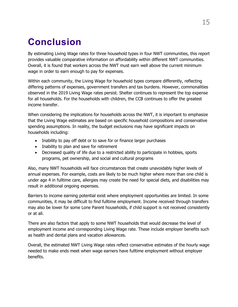## <span id="page-17-0"></span>**Conclusion**

By estimating Living Wage rates for three household types in four NWT communities, this report provides valuable comparative information on affordability within different NWT communities. Overall, it is found that workers across the NWT must earn well above the current minimum wage in order to earn enough to pay for expenses.

Within each community, the Living Wage for household types compare differently, reflecting differing patterns of expenses, government transfers and tax burdens. However, commonalities observed in the 2019 Living Wage rates persist. Shelter continues to represent the top expense for all households. For the households with children, the CCB continues to offer the greatest income transfer.

When considering the implications for households across the NWT, it is important to emphasize that the Living Wage estimates are based on specific household compositions and conservative spending assumptions. In reality, the budget exclusions may have significant impacts on households including:

- Inability to pay off debt or to save for or finance larger purchases
- Inability to plan and save for retirement
- Decreased quality of life due to a restricted ability to participate in hobbies, sports programs, pet ownership, and social and cultural programs

Also, many NWT households will face circumstances that create unavoidably higher levels of annual expenses. For example, costs are likely to be much higher where more than one child is under age 4 in fulltime care, allergies may create the need for special diets, and disabilities may result in additional ongoing expenses.

Barriers to income earning potential exist where employment opportunities are limited. In some communities, it may be difficult to find fulltime employment. Income received through transfers may also be lower for some Lone Parent households, if child support is not received consistently or at all.

There are also factors that apply to some NWT households that would decrease the level of employment income and corresponding Living Wage rate. These include employer benefits such as health and dental plans and vacation allowances.

<span id="page-17-1"></span>Overall, the estimated NWT Living Wage rates reflect conservative estimates of the hourly wage needed to make ends meet when wage earners have fulltime employment without employer benefits.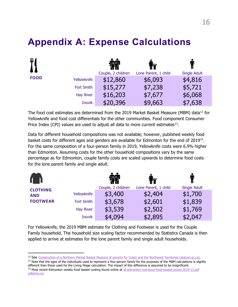#### **Appendix A: Expense Calculations**

| $\Psi$      |                   | Couple, 2 children | iñ<br>Lone Parent, 1 child | <b>Single Adult</b> |
|-------------|-------------------|--------------------|----------------------------|---------------------|
| <b>FOOD</b> | Yellowknife       | \$12,860           | \$6,093                    | \$4,816             |
|             | <b>Fort Smith</b> | \$15,277           | \$7,238                    | \$5,721             |
|             | <b>Hay River</b>  | \$16,203           | \$7,677                    | \$6,068             |
|             | <b>Inuvik</b>     | \$20,396           | \$9,663                    | \$7,638             |

The food cost estimates are determined from the 2019 Market Basket Measure (MBM) data<sup>[12](#page-18-0)</sup> for Yellowknife and food cost differentials for the other communities. Food component Consumer Price Index (CPI) values are used to adjust all data to more current estimates<sup>[13](#page-18-1)</sup>.

Data for different household compositions was not available; however, published weekly food basket costs for different ages and genders are available for Edmonton for the end of 2019<sup>14</sup>. For the same composition of a four-person family in 2019, Yellowknife costs were 6.9% higher than Edmonton. Assuming costs for the other household compositions vary by the same percentage as for Edmonton, couple family costs are scaled upwards to determine food costs for the lone parent family and single adult.

|                 |                   |                    | <b>ikk</b>           |                     |
|-----------------|-------------------|--------------------|----------------------|---------------------|
| <b>CLOTHING</b> |                   | Couple, 2 children | Lone Parent, 1 child | <b>Single Adult</b> |
| <b>AND</b>      | Yellowknife       | \$3,400            | \$2,404              | \$1,700             |
| <b>FOOTWEAR</b> | <b>Fort Smith</b> | \$3,678            | \$2,601              | \$1,839             |
|                 | <b>Hay River</b>  | \$3,539            | \$2,502              | \$1,769             |
|                 | <b>Inuvik</b>     | \$4,094            | \$2,895              | \$2,047             |

For Yellowknife, the 2019 MBM estimate for Clothing and Footwear is used for the Couple Family household. The household size scaling factor recommended by Statistics Canada is then applied to arrive at estimates for the lone parent family and single adult households.

<sup>12</sup> See [Construction of a Northern Market Basket Measure of poverty for Yukon and the Northwest Territories \(statcan.gc.ca\).](https://www150.statcan.gc.ca/n1/en/pub/75f0002m/75f0002m2021007-eng.pdf?st=4rNyZ_24)

<span id="page-18-1"></span><span id="page-18-0"></span><sup>&</sup>lt;sup>13</sup> Note that the ages of the individuals used to represent a four-person family for the purposes of the MBM calculations is slightly different than those used for the Living Wage calculation. The impact of this difference is assumed to be insignificant. <sup>14</sup> Most recent Edmonton weekly food basket costing found online at af-edmonton-nutritious-food-basket-prices-2019-12.pdf

<span id="page-18-2"></span>[<sup>\(</sup>alberta.ca\)](https://open.alberta.ca/dataset/e0baf4bb-9496-4e93-b9d7-354f289ef0f9/resource/76452e29-b49e-4931-b9b7-97ffe93b367a/download/af-edmonton-nutritious-food-basket-prices-2019-12.pdf)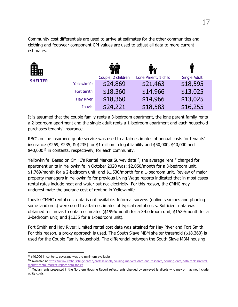Community cost differentials are used to arrive at estimates for the other communities and clothing and footwear component CPI values are used to adjust all data to more current estimates.

| 龠              |                   |                    | i¥                   |                     |
|----------------|-------------------|--------------------|----------------------|---------------------|
|                |                   | Couple, 2 children | Lone Parent, 1 child | <b>Single Adult</b> |
| <b>SHELTER</b> | Yellowknife       | \$24,869           | \$21,463             | \$18,595            |
|                | <b>Fort Smith</b> | \$18,360           | \$14,966             | \$13,025            |
|                | <b>Hay River</b>  | \$18,360           | \$14,966             | \$13,025            |
|                | <b>Inuvik</b>     | \$24,221           | \$18,583             | \$16,255            |

It is assumed that the couple family rents a 3-bedroom apartment, the lone parent family rents a 2-bedroom apartment and the single adult rents a 1-bedroom apartment and each household purchases tenants' insurance.

RBC's online insurance quote service was used to attain estimates of annual costs for tenants' insurance (\$269, \$235, & \$235) for \$1 million in legal liability and \$50,000, \$40,000 and \$40,000<sup>[15](#page-19-0)</sup> in contents, respectively, for each community.

Yellowknife: Based on CMHC's Rental Market Survey data<sup>[16](#page-19-1)</sup>, the average rent<sup>[17](#page-19-2)</sup> charged for apartment units in Yellowknife in October 2020 was: \$2,050/month for a 3-bedroom unit, \$1,769/month for a 2-bedroom unit; and \$1,530/month for a 1-bedroom unit. Review of major property managers in Yellowknife for previous Living Wage reports indicated that in most cases rental rates include heat and water but not electricity. For this reason, the CMHC may underestimate the average cost of renting in Yellowknife.

Inuvik: CMHC rental cost data is not available. Informal surveys (online searches and phoning some landlords) were used to attain estimates of typical rental costs. Sufficient data was obtained for Inuvik to obtain estimates (\$1996/month for a 3-bedroom unit; \$1529/month for a 2-bedroom unit; and \$1335 for a 1-bedroom unit).

Fort Smith and Hay River: Limited rental cost data was attained for Hay River and Fort Smith. For this reason, a proxy approach is used. The South Slave MBM shelter threshold (\$18,360) is used for the Couple Family household. The differential between the South Slave MBM housing

<span id="page-19-0"></span> $15$  \$40,000 in contents coverage was the minimum available.

<span id="page-19-1"></span><sup>16</sup> Available at [https://www.cmhc-schl.gc.ca/en/professionals/housing-markets-data-and-research/housing-data/data-tables/rental](https://www.cmhc-schl.gc.ca/en/professionals/housing-markets-data-and-research/housing-data/data-tables/rental-market/rental-market-report-data-tables)[market/rental-market-report-data-tables](https://www.cmhc-schl.gc.ca/en/professionals/housing-markets-data-and-research/housing-data/data-tables/rental-market/rental-market-report-data-tables)

<span id="page-19-2"></span><sup>&</sup>lt;sup>17</sup> Median rents presented in the Northern Housing Report reflect rents charged by surveyed landlords who may or may not include utility costs.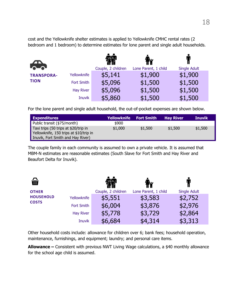cost and the Yellowknife shelter estimates is applied to Yellowknife CMHC rental rates (2 bedroom and 1 bedroom) to determine estimates for lone parent and single adult households.

| <b>Rep</b>        |                  |                    | fř                   |                     |
|-------------------|------------------|--------------------|----------------------|---------------------|
|                   |                  | Couple, 2 children | Lone Parent, 1 child | <b>Single Adult</b> |
| <b>TRANSPORA-</b> | Yellowknife      | \$5,141            | \$1,900              | \$1,900             |
| <b>TION</b>       | Fort Smith       | \$5,096            | \$1,500              | \$1,500             |
|                   | <b>Hay River</b> | \$5,096            | \$1,500              | \$1,500             |
|                   | <b>Inuvik</b>    | \$5,860            | \$1,500              | \$1,500             |

For the lone parent and single adult household, the out-of-pocket expenses are shown below.

| <b>Expenditures</b>                                                                                                 | <b>Yellowknife</b> | <b>Fort Smith</b> | <b>Hav River</b> | <b>Inuvik</b> |
|---------------------------------------------------------------------------------------------------------------------|--------------------|-------------------|------------------|---------------|
| Public transit (\$75/month)                                                                                         | \$900              |                   |                  |               |
| Taxi trips (50 trips at \$20/trip in<br>Yellowknife, 150 trips at \$10/trip in<br>Inuvik, Fort Smith and Hay River) | \$1,000            | \$1,500           | \$1,500          | \$1,500       |

The couple family in each community is assumed to own a private vehicle. It is assumed that MBM-N estimates are reasonable estimates (South Slave for Fort Smith and Hay River and Beaufort Delta for Inuvik).

| 侖                |                  |                    | <b>ITY</b>           |                     |
|------------------|------------------|--------------------|----------------------|---------------------|
| <b>OTHER</b>     |                  | Couple, 2 children | Lone Parent, 1 child | <b>Single Adult</b> |
| <b>HOUSEHOLD</b> | Yellowknife      | \$5,551            | \$3,583              | \$2,752             |
| <b>COSTS</b>     | Fort Smith       | \$6,004            | \$3,876              | \$2,976             |
|                  | <b>Hay River</b> | \$5,778            | \$3,729              | \$2,864             |
|                  | <b>Inuvik</b>    | \$6,684            | \$4,314              | \$3,313             |

Other household costs include: allowance for children over 6; bank fees; household operation, maintenance, furnishings, and equipment; laundry; and personal care items.

**Allowance –** Consistent with previous NWT Living Wage calculations, a \$40 monthly allowance for the school age child is assumed.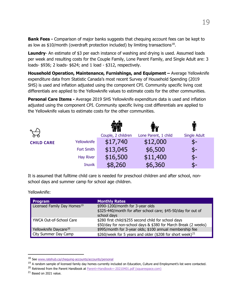**Bank Fees -** Comparison of major banks suggests that chequing account fees can be kept to as low as  $$10/m$ onth (overdraft protection included) by limiting transactions<sup>18</sup>.

**Laundry-** An estimate of \$3 per each instance of washing and drying is used. Assumed loads per week and resulting costs for the Couple Family, Lone Parent Family, and Single Adult are: 3 loads- \$936; 2 loads- \$624; and 1 load - \$312, respectively.

**Household Operation, Maintenance, Furnishings, and Equipment –** Average Yellowknife expenditure data from Statistic Canada's most recent Survey of Household Spending (2019 SHS) is used and inflation adjusted using the component CPI. Community specific living cost differentials are applied to the Yellowknife values to estimate costs for the other communities.

**Personal Care Items -** Average 2019 SHS Yellowknife expenditure data is used and inflation adjusted using the component CPI. Community specific living cost differentials are applied to the Yellowknife values to estimate costs for the other communities.

|                   |                   |                    | <b>TX</b>            |                     |
|-------------------|-------------------|--------------------|----------------------|---------------------|
|                   |                   | Couple, 2 children | Lone Parent, 1 child | <b>Single Adult</b> |
| <b>CHILD CARE</b> | Yellowknife       | \$17,740           | \$12,000             | \$-                 |
|                   | <b>Fort Smith</b> | \$13,045           | \$6,500              | \$-                 |
|                   | <b>Hay River</b>  | \$16,500           | \$11,400             | \$-                 |
|                   | <b>Inuvik</b>     | \$8,260            | \$6,360              | S-                  |

It is assumed that fulltime child care is needed for preschool children and after school, nonschool days and summer camp for school age children.

Yellowknife:

| <b>Program</b>                          | <b>Monthly Rates</b>                                                                                                   |
|-----------------------------------------|------------------------------------------------------------------------------------------------------------------------|
| Licensed Family Day Homes <sup>19</sup> | \$990-1200/month for 3-year olds                                                                                       |
|                                         | \$325-440/month for after school care; \$45-50/day for out of<br>school days                                           |
| YWCA Out-of-School Care                 | \$280 first child/\$255 second child for school days<br>\$50/day for non-school days & \$380 for March Break (2 weeks) |
| Yellowknife Daycare <sup>20</sup>       | \$995/month for 3-year olds; \$100 annual membership fee                                                               |
| City Summer Day Camp                    | \$260/week for 5 years and older (\$208 for short week) <sup>21</sup>                                                  |

<span id="page-21-3"></span> $21$  Based on 2021 value.

<span id="page-21-0"></span><sup>18</sup> Se[e www.ratehub.ca/chequing-accounts/accounts/personal](http://www.ratehub.ca/chequing-accounts/accounts/personal)

<span id="page-21-1"></span><sup>&</sup>lt;sup>19</sup> A random sample of licensed family day homes currently included on Education, Culture and Employment's list were contacted.

<span id="page-21-2"></span><sup>&</sup>lt;sup>20</sup> Retrieved from the Parent Handbook a[t Parent+Handbook+-20210401.pdf \(squarespace.com\)](https://static1.squarespace.com/static/5b75a6c696e76f739671ae59/t/607076a940e9754a6818a94a/1617983146070/Parent+Handbook+-20210401.pdf)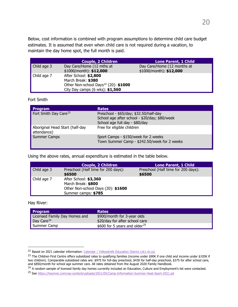Below, cost information is combined with program assumptions to determine child care budget estimates. It is assumed that even when child care is not required during a vacation, to maintain the day home spot, the full month is paid.

|                            | <b>Couple, 2 Children</b>                                                                                                                     | <b>Lone Parent, 1 Child</b>                             |
|----------------------------|-----------------------------------------------------------------------------------------------------------------------------------------------|---------------------------------------------------------|
| Child age 3                | Day Care/Home (12 mths at<br>$$1000/month$ : \$12,000                                                                                         | Day Care/Home (12 months at<br>$$1000/morth$ : \$12,000 |
| $\blacksquare$ Child age 7 | After School: \$2,800<br>March Break: \$380<br>Other Non-school Days <sup>22</sup> (20): \$1000<br>City Day camps $(6 \text{ wks})$ : \$1,560 |                                                         |

Fort Smith

| <b>Program</b>                                 | <b>Rates</b>                                                                                                              |
|------------------------------------------------|---------------------------------------------------------------------------------------------------------------------------|
| Fort Smith Day Care <sup>23</sup>              | Preschool - \$65/day; \$32.50/half-day<br>School age after school - \$20/day; \$80/week<br>School age full day - \$80/day |
| Aboriginal Head Start (half-day<br>attendance) | Free for eligible children                                                                                                |
| Summer Camps                                   | Sport Camps - \$150/week for 2 weeks<br>Town Summer Camp - \$242.50/week for 2 weeks                                      |

Using the above rates, annual expenditure is estimated in the table below.

|             | <b>Couple, 2 Children</b>                                                                                | <b>Lone Parent, 1 Child</b>                   |
|-------------|----------------------------------------------------------------------------------------------------------|-----------------------------------------------|
| Child age 3 | Preschool (Half time for 200 days):<br>\$6500                                                            | Preschool (Half time for 200 days):<br>\$6500 |
| Child age 7 | After School: \$3,360<br>March Break: \$800<br>Other Non-school Days (20): \$1600<br>Summer camps: \$785 |                                               |

Hay River:

| <b>Program</b>                | <b>Rates</b>                              |
|-------------------------------|-------------------------------------------|
| Licensed Family Day Homes and | \$900/month for 3-year olds               |
| Day Care <sup>24</sup>        | \$20/day for after school care            |
| Summer Camp                   | \$600 for 5 years and older <sup>25</sup> |

<span id="page-22-0"></span><sup>&</sup>lt;sup>22</sup> Based on 2021 calendar information: [Calendar | Yellowknife Education District \(yk1.nt.ca\)](https://www.yk1.nt.ca/Calendar.php)

<span id="page-22-1"></span><sup>&</sup>lt;sup>23</sup> The Children First Centre offers subsidized rates to qualifying families (income under \$90K if one child and income under \$105K if two children). Comparable subsidized rates are: \$975 for full-day preschool, \$430 for half-day preschool, \$375 for after school care, and \$850/month for school age summer care. All rates obtained from the August 2020 Family Handbook.

<span id="page-22-2"></span><sup>&</sup>lt;sup>24</sup> A random sample of licensed family day homes currently included on Education, Culture and Employment's list were contacted.

<span id="page-22-3"></span><sup>25</sup> See [https://hayriver.com/wp-content/uploads/2021/05/Camp-Information-Summer-Heat-Sport-2021.pd](https://hayriver.com/wp-content/uploads/2021/05/Camp-Information-Summer-Heat-Sport-2021.pdf)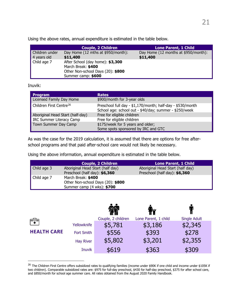Using the above rates, annual expenditure is estimated in the table below.

|                               | <b>Couple, 2 Children</b>                                                                                         | <b>Lone Parent, 1 Child</b>                      |
|-------------------------------|-------------------------------------------------------------------------------------------------------------------|--------------------------------------------------|
| Children under<br>4 years old | Day Home (12 mths at \$950/month):<br>\$11,400                                                                    | Day Home (12 months at \$950/month):<br>\$11,400 |
| Child age 7                   | After School (day home): \$3,300<br>March Break: \$400<br>Other Non-school Days (20): \$800<br>Summer camp: \$600 |                                                  |

#### Inuvik:

| <b>Program</b>                      | <b>Rates</b>                                                                                                         |
|-------------------------------------|----------------------------------------------------------------------------------------------------------------------|
| Licensed Family Day Home            | \$900/month for 3-year olds                                                                                          |
| Children First Centre <sup>26</sup> | Preschool full day - \$1,170/month; half-day - \$530/month<br>School age: school out - \$40/day; summer - \$250/week |
| Aboriginal Head Start (half-day)    | Free for eligible children                                                                                           |
| <b>IRC Summer Literacy Camp</b>     | Free for eligible children                                                                                           |
| Town Summer Day Camp                | \$175/week for 5 years and older;                                                                                    |
|                                     | Some spots sponsored by IRC and GTC                                                                                  |

As was the case for the 2019 calculation, it is assumed that there are options for free afterschool programs and that paid after-school care would not likely be necessary.

Using the above information, annual expenditure is estimated in the table below.

|             | <b>Couple, 2 Children</b>         | <b>Lone Parent, 1 Child</b>      |
|-------------|-----------------------------------|----------------------------------|
| Child age 3 | Aboriginal Head Start (half day)  | Aboriginal Head Start (half day) |
|             | Preschool (half day): \$6,360     | Preschool (half day): \$6,360    |
| Child age 7 | March Break: \$400                |                                  |
|             | Other Non-school Days (20): \$800 |                                  |
|             | Summer camp (4 wks): \$700        |                                  |

|                    |                   |                    | TÝ                   |                     |
|--------------------|-------------------|--------------------|----------------------|---------------------|
| Ħ                  |                   | Couple, 2 children | Lone Parent, 1 child | <b>Single Adult</b> |
|                    | Yellowknife       | \$5,781            | \$3,186              | \$2,345             |
| <b>HEALTH CARE</b> | <b>Fort Smith</b> | \$556              | \$393                | \$278               |
|                    | <b>Hay River</b>  | \$5,802            | \$3,201              | \$2,355             |
|                    | <b>Inuvik</b>     | \$619              | \$363                | \$309               |

<span id="page-23-0"></span><sup>&</sup>lt;sup>26</sup> The Children First Centre offers subsidized rates to qualifying families (income under \$90K if one child and income under \$105K if two children). Comparable subsidized rates are: \$975 for full-day preschool, \$430 for half-day preschool, \$375 for after school care, and \$850/month for school age summer care. All rates obtained from the August 2020 Family Handbook.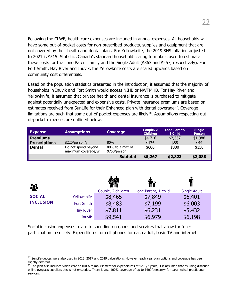Following the CLWF, health care expenses are included in annual expenses. All households will have some out-of-pocket costs for non-prescribed products, supplies and equipment that are not covered by their health and dental plans. For Yellowknife, the 2019 SHS inflation adjusted to 2021 is \$515. Statistics Canada's standard household scaling formula is used to estimate these costs for the Lone Parent family and the Single Adult (\$363 and \$257, respectively). For Fort Smith, Hay River and Inuvik, the Yellowknife costs are scaled upwards based on community cost differentials.

Based on the population statistics presented in the introduction, it assumed that the majority of households in Inuvik and Fort Smith would access NIHB or NWTMHB. For Hay River and Yellowknife, it assumed that private health and dental insurance is purchased to mitigate against potentially unexpected and expensive costs. Private insurance premiums are based on estimates received from SunLife for their Enhanced plan with dental coverage<sup>[27](#page-24-0)</sup>. Coverage limitations are such that some out-of-pocket expenses are likely<sup>[28](#page-24-1)</sup>. Assumptions respecting outof-pocket expenses are outlined below.

| <b>Expense</b>                          | <b>Assumptions</b>                         | <b>Coverage</b>                 | Couple, 2<br><b>Children</b> | Lone Parent,<br>1 Child | <b>Single</b><br><b>Person</b> |
|-----------------------------------------|--------------------------------------------|---------------------------------|------------------------------|-------------------------|--------------------------------|
| <b>Premiums</b><br><b>Prescriptions</b> | \$220/person/yr                            | 80%                             | \$4,716<br>\$176             | \$2,557<br>\$88         | \$1,988<br>\$44                |
| <b>Dental</b>                           | Do not spend beyond<br>maximum coverage/yr | 80% to a max of<br>\$750/person | \$600                        | \$300                   | \$150                          |
|                                         |                                            | <b>Subtotal</b>                 | \$5,267                      | \$2,823                 | \$2,088                        |

| $\mathbf{R}$     |                   |                    | fř                   |                     |
|------------------|-------------------|--------------------|----------------------|---------------------|
|                  |                   | Couple, 2 children | Lone Parent, 1 child | <b>Single Adult</b> |
| <b>SOCIAL</b>    | Yellowknife       | \$8,465            | \$7,849              | \$6,401             |
| <b>INCLUSION</b> | <b>Fort Smith</b> | \$8,483            | \$7,199              | \$6,003             |
|                  | <b>Hay River</b>  | \$7,811            | \$6,231              | \$5,432             |
|                  | <b>Inuvik</b>     | \$9,541            | \$6,979              | \$6,198             |

Social inclusion expenses relate to spending on goods and services that allow for fuller participation in society. Expenditures for cell phones for each adult, basic TV and internet

<span id="page-24-0"></span><sup>&</sup>lt;sup>27</sup> SunLife quotes were also used in 2015, 2017 and 2019 calculations. However, each year plan options and coverage has been slightly different.

<span id="page-24-1"></span> $^{28}$  The plan also includes vision care at 100% reimbursement for expenditures of \$200/2 years; it is assumed that by using discount online eyeglass suppliers this is not exceeded. There is also 100% coverage of up to \$400/person/yr for paramedical practitioner services.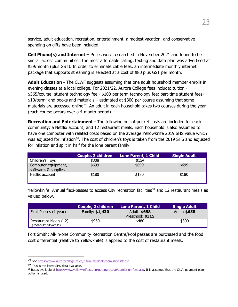service, adult education, recreation, entertainment, a modest vacation, and conservative spending on gifts have been included.

**Cell Phone(s) and Internet –** Prices were researched in November 2021 and found to be similar across communities. The most affordable calling, texting and data plan was advertised at \$59/month (plus GST). In order to eliminate cable fees, an intermediate monthly internet package that supports streaming is selected at a cost of \$80 plus GST per month.

**Adult Education -** The CLWF suggests assuming that one adult household member enrolls in evening classes at a local college. For 2021/22, Aurora College fees include: tuition - \$365/course; student technology fee - \$100 per term technology fee; part-time student fees- \$10/term; and books and materials – estimated at \$300 per course assuming that some materials are accessed online<sup>29</sup>. An adult in each household takes two courses during the year (each course occurs over a 4-month period).

**Recreation and Entertainment -** The following out-of-pocket costs are included for each community: a Netflix account; and 12 restaurant meals. Each household is also assumed to have one computer with related costs based on the average Yellowknife 2019 SHS value which was adjusted for inflation<sup>[30](#page-25-1)</sup>. The cost of children's toys is taken from the 2019 SHS and adjusted for inflation and split in half for the lone parent family.

|                                             | Couple, 2 children | <b>Lone Parent, 1 Child</b> | <b>Single Adult</b> |
|---------------------------------------------|--------------------|-----------------------------|---------------------|
| <b>Children's Toys</b>                      | \$308              | \$154                       |                     |
| Computer equipment,<br>software, & supplies | \$699              | \$699                       | \$699               |
| Netflix account                             | \$180              | \$180                       | \$180               |

Yellowknife: Annual flexi-passes to access City recreation facilities<sup>[31](#page-25-2)</sup> and 12 restaurant meals as valued below.

|                                                                    | Couple, 2 children | Lone Parent, 1 Child             | <b>Single Adult</b> |
|--------------------------------------------------------------------|--------------------|----------------------------------|---------------------|
| Flexi Passes (1 year)                                              | Family: \$1,430    | Adult: \$658<br>Preschool: \$315 | Adult: \$658        |
| Restaurant Meals (12)<br>$\left  \right $ (\$25/adult; \$15/child) | \$960              | \$480                            | \$300               |

Fort Smith: All-in-one Community Recreation Centre/Pool passes are purchased and the food cost differential (relative to Yellowknife) is applied to the cost of restaurant meals.

<span id="page-25-0"></span><sup>&</sup>lt;sup>29</sup> Se[e https://www.auroracollege.nt.ca/future-students/admissions/fees/](https://www.auroracollege.nt.ca/future-students/admissions/fees/)

<span id="page-25-1"></span><sup>&</sup>lt;sup>30</sup> This is the latest SHS data available.

<span id="page-25-2"></span><sup>&</sup>lt;sup>31</sup> Rates available a[t http://www.yellowknife.ca/en/getting-active/admission-fees.asp.](http://www.yellowknife.ca/en/getting-active/admission-fees.asp) It is assumed that the City's payment plan option is used.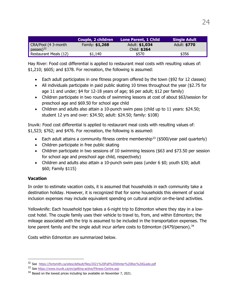|                       | Couple, 2 children | Lone Parent, 1 Child | <b>Single Adult</b> |
|-----------------------|--------------------|----------------------|---------------------|
| CRA/Pool (4 3-month   | Family: \$1,268    | Adult: \$1,034       | Adult: \$770        |
| passes $)^{32}$       |                    | Child: \$264         |                     |
| Restaurant Meals (12) | \$1,140            | \$570                | \$356               |

Hay River: Food cost differential is applied to restaurant meal costs with resulting values of: \$1,210; \$605; and \$378. For recreation, the following is assumed:

- Each adult participates in one fitness program offered by the town (\$92 for 12 classes)
- All individuals participate in paid public skating 10 times throughout the year (\$2.75 for age 11 and under; \$4 for 12-18 years of age; \$6 per adult; \$12 per family)
- Children participate in two rounds of swimming lessons at cost of about \$63/session for preschool age and \$69.50 for school age child
- Children and adults also attain a 10-punch swim pass (child up to 11 years: \$24.50; student 12 yrs and over: \$34.50; adult: \$24.50; family: \$108)

Inuvik: Food cost differential is applied to restaurant meal costs with resulting values of: \$1,523; \$762; and \$476. For recreation, the following is assumed:

- Each adult attains a community fitness centre membership<sup>[33](#page-26-1)</sup> (\$500/year paid quarterly)
- Children participate in free public skating
- Children participate in two sessions of 10 swimming lessons (\$63 and \$73.50 per session for school age and preschool age child, respectively)
- Children and adults also attain a 10-punch swim pass (under 6 \$0; youth \$30; adult \$60; Family \$115)

#### **Vacation**

In order to estimate vacation costs, it is assumed that households in each community take a destination holiday. However, it is recognized that for some households this element of social inclusion expenses may include equivalent spending on cultural and/or on-the-land activities.

Yellowknife: Each household type takes a 6-night trip to Edmonton where they stay in a lowcost hotel. The couple family uses their vehicle to travel to, from, and within Edmonton; the mileage associated with the trip is assumed to be included in the transportation expenses. The lone parent family and the single adult incur airfare costs to Edmonton (\$479/person). [34](#page-26-2) 

Costs within Edmonton are summarized below.

<span id="page-26-0"></span><sup>32</sup> See <https://fortsmith.ca/sites/default/files/2021%20Fall%20Winter%20Rec%20Guide.pdf>

<span id="page-26-1"></span><sup>33</sup> Se[e https://www.inuvik.ca/en/getting-active/Fitness-Centre.asp](https://www.inuvik.ca/en/getting-active/Fitness-Centre.asp)

<span id="page-26-2"></span><sup>&</sup>lt;sup>34</sup> Based on the lowest prices including tax available on November 7, 2021.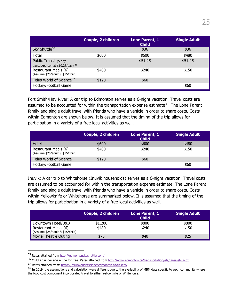|                                                           | Couple, 2 children | Lone Parent, 1<br><b>Child</b> | <b>Single Adult</b> |
|-----------------------------------------------------------|--------------------|--------------------------------|---------------------|
| Sky Shuttle <sup>35</sup>                                 |                    | \$36                           | \$36                |
| Hotel                                                     | \$600              | \$600                          | \$480               |
| Public Transit (5 day<br>passes/person at \$10.25/day) 36 |                    | \$51.25                        | \$51.25             |
| Restaurant Meals (6)<br>(Assume \$25/adult & \$15/child)  | \$480              | \$240                          | \$150               |
| Telus World of Science <sup>37</sup>                      | \$120              | \$60                           |                     |
| Hockey/Football Game                                      |                    |                                | \$60                |

Fort Smith/Hay River: A car trip to Edmonton serves as a 6-night vacation. Travel costs are assumed to be accounted for within the transportation expense estimate<sup>38</sup>. The Lone Parent family and single adult travel with friends who have a vehicle in order to share costs. Costs within Edmonton are shown below. It is assumed that the timing of the trip allows for participation in a variety of a free local activities as well.

|                                                          | Couple, 2 children | Lone Parent, 1<br><b>Child</b> | <b>Single Adult</b> |
|----------------------------------------------------------|--------------------|--------------------------------|---------------------|
| Hotel                                                    | \$600              | \$600                          | \$480               |
| Restaurant Meals (6)<br>(Assume \$25/adult & \$15/child) | \$480              | \$240                          | \$150               |
| Telus World of Science                                   | \$120              | \$60                           |                     |
| Hockey/Football Game                                     |                    |                                | \$60                |

Inuvik: A car trip to Whitehorse (Inuvik households) serves as a 6-night vacation. Travel costs are assumed to be accounted for within the transportation expense estimate. The Lone Parent family and single adult travel with friends who have a vehicle in order to share costs. Costs within Yellowknife or Whitehorse are summarized below. It is assumed that the timing of the trip allows for participation in a variety of a free local activities as well.

|                                                                         | Couple, 2 children | Lone Parent, 1<br><b>Child</b> | <b>Single Adult</b> |
|-------------------------------------------------------------------------|--------------------|--------------------------------|---------------------|
| Downtown Hotel/B&B                                                      | \$1,200            | \$800                          | \$800               |
| Restaurant Meals (6)<br>$\blacksquare$ (Assume \$25/adult & \$15/child) | \$480              | \$240                          | \$150               |
| Movie Theatre Outing                                                    | \$75               | \$40                           | \$25                |

<span id="page-27-0"></span><sup>35</sup> Rates attained fro[m http://edmontonskyshuttle.com/](http://edmontonskyshuttle.com/)

<span id="page-27-1"></span><sup>36</sup> Children under age 4 ride for free. Rates attained from<http://www.edmonton.ca/transportation/ets/fares-ets.aspx>

<span id="page-27-2"></span><sup>37</sup> Rates attained from: https://telusworldofscienceedmonton.ca/tickets/

<span id="page-27-3"></span><sup>&</sup>lt;sup>38</sup> In 2019, the assumptions and calculation were different due to the availability of MBM data specific to each community where the food cost component incorporated travel to either Yellowknife or Whitehorse.